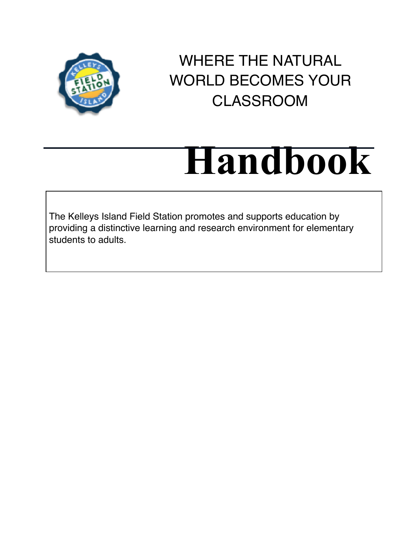

WHERE THE NATURAL WORLD BECOMES YOUR CLASSROOM

# **Handbook**

The Kelleys Island Field Station promotes and supports education by providing a distinctive learning and research environment for elementary students to adults.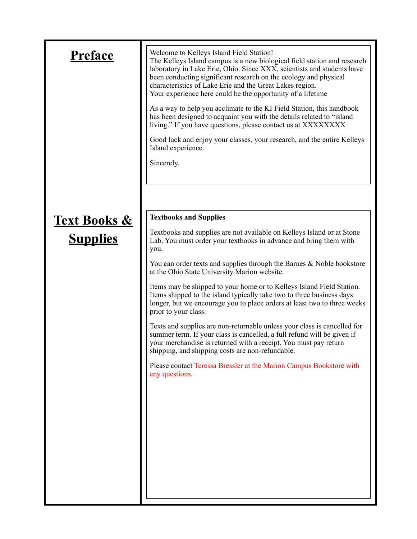| Preface                             | Welcome to Kelleys Island Field Station!<br>The Kelleys Island campus is a new biological field station and research<br>laboratory in Lake Erie, Ohio. Since XXX, scientists and students have<br>been conducting significant research on the ecology and physical<br>characteristics of Lake Erie and the Great Lakes region.<br>Your experience here could be the opportunity of a lifetime<br>As a way to help you acclimate to the KI Field Station, this handbook<br>has been designed to acquaint you with the details related to "island"<br>living." If you have questions, please contact us at XXXXXXXX<br>Good luck and enjoy your classes, your research, and the entire Kelleys<br>Island experience.<br>Sincerely, |
|-------------------------------------|----------------------------------------------------------------------------------------------------------------------------------------------------------------------------------------------------------------------------------------------------------------------------------------------------------------------------------------------------------------------------------------------------------------------------------------------------------------------------------------------------------------------------------------------------------------------------------------------------------------------------------------------------------------------------------------------------------------------------------|
|                                     |                                                                                                                                                                                                                                                                                                                                                                                                                                                                                                                                                                                                                                                                                                                                  |
|                                     | <b>Textbooks and Supplies</b>                                                                                                                                                                                                                                                                                                                                                                                                                                                                                                                                                                                                                                                                                                    |
| <b>Text Books &amp;</b><br>Supplies | Textbooks and supplies are not available on Kelleys Island or at Stone<br>Lab. You must order your textbooks in advance and bring them with<br>you.                                                                                                                                                                                                                                                                                                                                                                                                                                                                                                                                                                              |
|                                     | You can order texts and supplies through the Barnes & Noble bookstore<br>at the Ohio State University Marion website.                                                                                                                                                                                                                                                                                                                                                                                                                                                                                                                                                                                                            |
|                                     | Items may be shipped to your home or to Kelleys Island Field Station.<br>Items shipped to the island typically take two to three business days<br>longer, but we encourage you to place orders at least two to three weeks<br>prior to your class.                                                                                                                                                                                                                                                                                                                                                                                                                                                                               |
|                                     | Texts and supplies are non-returnable unless your class is cancelled for<br>summer term. If your class is cancelled, a full refund will be given if<br>your merchandise is returned with a receipt. You must pay return<br>shipping, and shipping costs are non-refundable.                                                                                                                                                                                                                                                                                                                                                                                                                                                      |
|                                     | Please contact Teressa Bressler at the Marion Campus Bookstore with<br>any questions.                                                                                                                                                                                                                                                                                                                                                                                                                                                                                                                                                                                                                                            |
|                                     |                                                                                                                                                                                                                                                                                                                                                                                                                                                                                                                                                                                                                                                                                                                                  |
|                                     |                                                                                                                                                                                                                                                                                                                                                                                                                                                                                                                                                                                                                                                                                                                                  |
|                                     |                                                                                                                                                                                                                                                                                                                                                                                                                                                                                                                                                                                                                                                                                                                                  |
|                                     |                                                                                                                                                                                                                                                                                                                                                                                                                                                                                                                                                                                                                                                                                                                                  |
|                                     |                                                                                                                                                                                                                                                                                                                                                                                                                                                                                                                                                                                                                                                                                                                                  |
|                                     |                                                                                                                                                                                                                                                                                                                                                                                                                                                                                                                                                                                                                                                                                                                                  |
|                                     |                                                                                                                                                                                                                                                                                                                                                                                                                                                                                                                                                                                                                                                                                                                                  |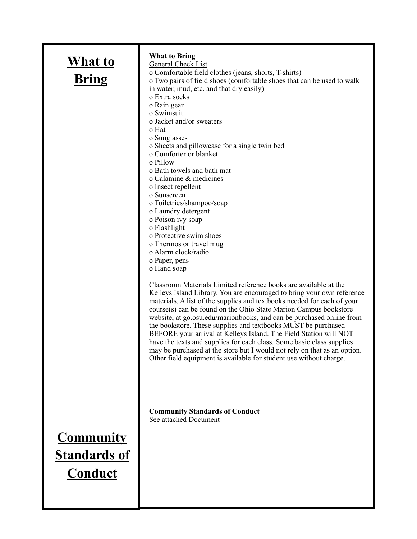| <u>What to</u><br><b>Bring</b>                            | <b>What to Bring</b><br><b>General Check List</b><br>o Comfortable field clothes (jeans, shorts, T-shirts)<br>o Two pairs of field shoes (comfortable shoes that can be used to walk<br>in water, mud, etc. and that dry easily)<br>o Extra socks<br>o Rain gear<br>o Swimsuit<br>o Jacket and/or sweaters<br>o Hat<br>o Sunglasses<br>o Sheets and pillowcase for a single twin bed<br>o Comforter or blanket<br>o Pillow<br>o Bath towels and bath mat<br>o Calamine & medicines<br>o Insect repellent<br>o Sunscreen<br>o Toiletries/shampoo/soap<br>o Laundry detergent<br>o Poison ivy soap<br>o Flashlight<br>o Protective swim shoes<br>o Thermos or travel mug<br>o Alarm clock/radio<br>o Paper, pens<br>o Hand soap<br>Classroom Materials Limited reference books are available at the<br>Kelleys Island Library. You are encouraged to bring your own reference<br>materials. A list of the supplies and textbooks needed for each of your<br>course(s) can be found on the Ohio State Marion Campus bookstore<br>website, at go.osu.edu/marionbooks, and can be purchased online from<br>the bookstore. These supplies and textbooks MUST be purchased<br>BEFORE your arrival at Kelleys Island. The Field Station will NOT<br>have the texts and supplies for each class. Some basic class supplies<br>may be purchased at the store but I would not rely on that as an option.<br>Other field equipment is available for student use without charge. |
|-----------------------------------------------------------|---------------------------------------------------------------------------------------------------------------------------------------------------------------------------------------------------------------------------------------------------------------------------------------------------------------------------------------------------------------------------------------------------------------------------------------------------------------------------------------------------------------------------------------------------------------------------------------------------------------------------------------------------------------------------------------------------------------------------------------------------------------------------------------------------------------------------------------------------------------------------------------------------------------------------------------------------------------------------------------------------------------------------------------------------------------------------------------------------------------------------------------------------------------------------------------------------------------------------------------------------------------------------------------------------------------------------------------------------------------------------------------------------------------------------------------------------------------------|
|                                                           | <b>Community Standards of Conduct</b><br>See attached Document                                                                                                                                                                                                                                                                                                                                                                                                                                                                                                                                                                                                                                                                                                                                                                                                                                                                                                                                                                                                                                                                                                                                                                                                                                                                                                                                                                                                      |
| <b>Community</b><br><b>Standards of</b><br><u>Conduct</u> |                                                                                                                                                                                                                                                                                                                                                                                                                                                                                                                                                                                                                                                                                                                                                                                                                                                                                                                                                                                                                                                                                                                                                                                                                                                                                                                                                                                                                                                                     |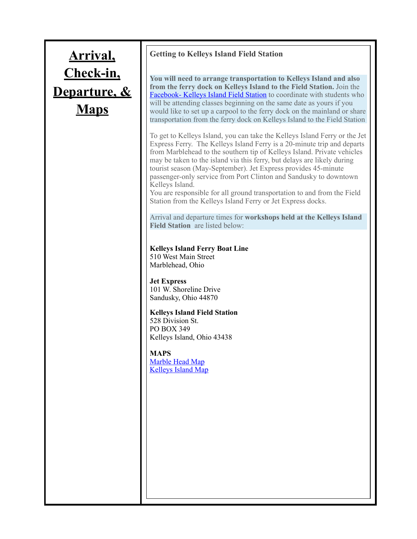# **Arrival, Check-in, Departure, & Maps**

### **Getting to Kelleys Island Field Station**

**You will need to arrange transportation to Kelleys Island and also from the ferry dock on Kelleys Island to the Field Station.** Join the [Facebook- Kelleys Island Field Station](https://www.facebook.com/Kelleys-Island-Field-Station-1015382558483496/?ref=bookmarks) to coordinate with students who will be attending classes beginning on the same date as yours if you would like to set up a carpool to the ferry dock on the mainland or share transportation from the ferry dock on Kelleys Island to the Field Station

To get to Kelleys Island, you can take the Kelleys Island Ferry or the Jet Express Ferry. The Kelleys Island Ferry is a 20-minute trip and departs from Marblehead to the southern tip of Kelleys Island. Private vehicles may be taken to the island via this ferry, but delays are likely during tourist season (May-September). Jet Express provides 45-minute passenger-only service from Port Clinton and Sandusky to downtown Kelleys Island.

You are responsible for all ground transportation to and from the Field Station from the Kelleys Island Ferry or Jet Express docks.

Arrival and departure times for **workshops held at the Kelleys Island Field Station** are listed below:

### **Kelleys Island Ferry Boat Line**  510 West Main Street Marblehead, Ohio

**Jet Express**  101 W. Shoreline Drive Sandusky, Ohio 44870

**Kelleys Island Field Station** 528 Division St. PO BOX 349 Kelleys Island, Ohio 43438

**MAPS**  [Marble Head Map](https://www.google.com/maps?q=Marblehead,+OH&oe&um=1&ie=UTF-8&sa=X&ved=0ahUKEwjztIOg3K7fAhUFPK0KHWB_AGIQ_AUIDigB) [Kelleys Island Map](https://www.google.com/maps/place/Kelleys+Island,+OH+43438/@41.6050377,-82.7391458,13z/data=!3m1!4b1!4m5!3m4!1s0x883a5a2438a048cf:0x98d93bcb798881a9!8m2!3d41.5969932!4d-82.7101823)